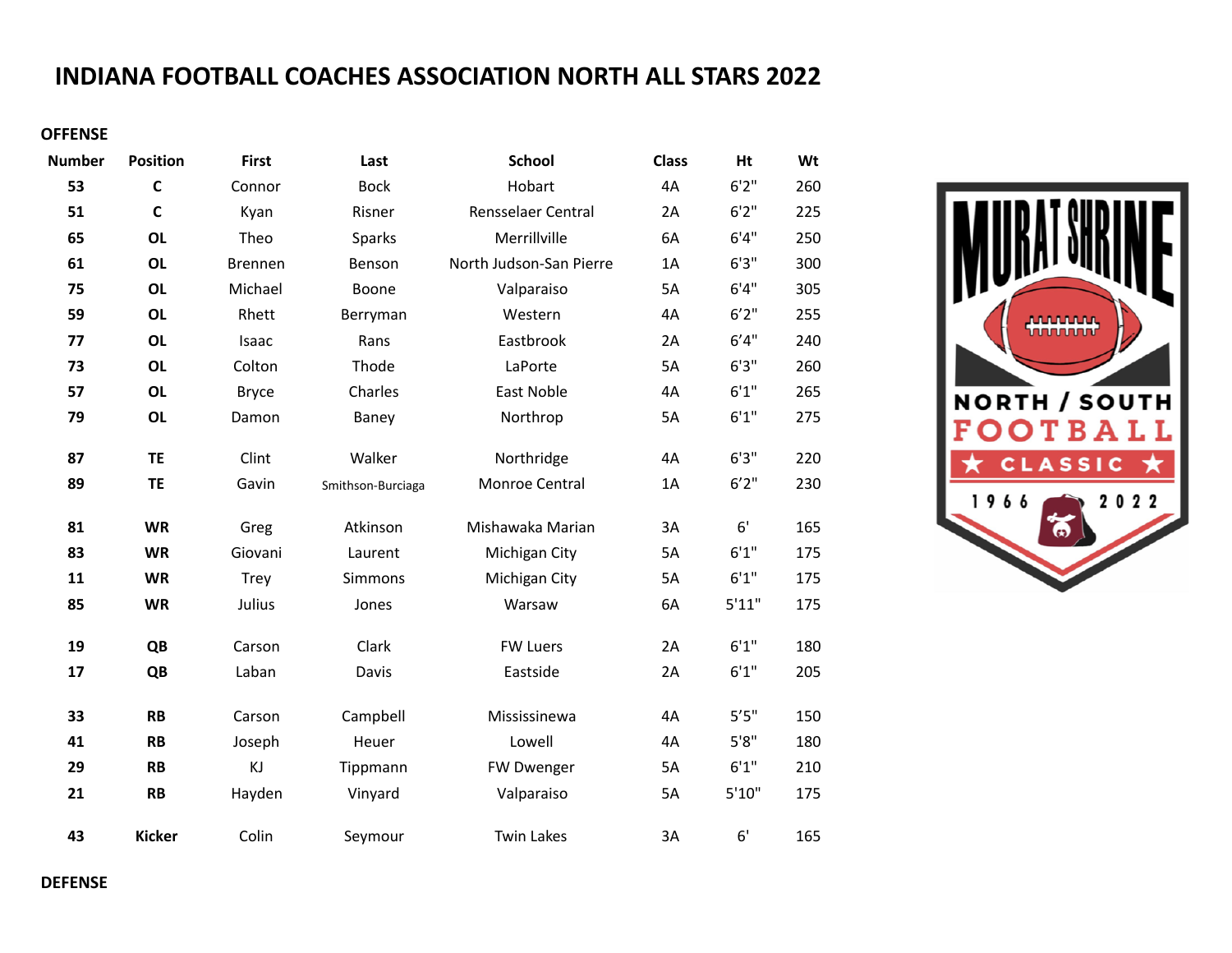## **INDIANA FOOTBALL COACHES ASSOCIATION NORTH ALL STARS 2022**

## **OFFENSE**

| <b>Number</b> | <b>Position</b> | <b>First</b> | Last              | <b>School</b>           | <b>Class</b> | Ht     | Wt  |
|---------------|-----------------|--------------|-------------------|-------------------------|--------------|--------|-----|
| 53            | $\mathbf c$     | Connor       | <b>Bock</b>       | Hobart                  | 4A           | 6'2''  | 260 |
| 51            | $\mathsf{C}$    | Kyan         | Risner            | Rensselaer Central      | 2A           | 6'2''  | 225 |
| 65            | <b>OL</b>       | Theo         | Sparks            | Merrillville            | 6A           | 6'4''  | 250 |
| 61            | <b>OL</b>       | Brennen      | Benson            | North Judson-San Pierre | 1A           | 6'3''  | 300 |
| 75            | <b>OL</b>       | Michael      | Boone             | Valparaiso              | 5A           | 6'4''  | 305 |
| 59            | <b>OL</b>       | Rhett        | Berryman          | Western                 | 4A           | 6'2''  | 255 |
| 77            | <b>OL</b>       | Isaac        | Rans              | Eastbrook               | 2A           | 6'4''  | 240 |
| 73            | <b>OL</b>       | Colton       | Thode             | LaPorte                 | 5A           | 6'3''  | 260 |
| 57            | <b>OL</b>       | <b>Bryce</b> | Charles           | East Noble              | 4A           | 6'1''  | 265 |
| 79            | <b>OL</b>       | Damon        | Baney             | Northrop                | 5A           | 6'1''  | 275 |
| 87            | <b>TE</b>       | Clint        | Walker            | Northridge              | 4A           | 6'3''  | 220 |
| 89            | <b>TE</b>       | Gavin        | Smithson-Burciaga | Monroe Central          | 1A           | 6'2''  | 230 |
| 81            | <b>WR</b>       | Greg         | Atkinson          | Mishawaka Marian        | 3A           | 6'     | 165 |
| 83            | <b>WR</b>       | Giovani      | Laurent           | Michigan City           | 5A           | 6'1''  | 175 |
| 11            | <b>WR</b>       | Trey         | Simmons           | Michigan City           | 5A           | 6'1''  | 175 |
| 85            | <b>WR</b>       | Julius       | Jones             | Warsaw                  | 6A           | 5'11"  | 175 |
| 19            | QB              | Carson       | Clark             | <b>FW Luers</b>         | 2A           | 6'1''  | 180 |
| 17            | QB              | Laban        | Davis             | Eastside                | 2A           | 6'1''  | 205 |
| 33            | <b>RB</b>       | Carson       | Campbell          | Mississinewa            | 4A           | 5'5"   | 150 |
| 41            | <b>RB</b>       | Joseph       | Heuer             | Lowell                  | 4A           | 5'8''  | 180 |
| 29            | <b>RB</b>       | KJ           | Tippmann          | FW Dwenger              | 5A           | 6'1''  | 210 |
| 21            | <b>RB</b>       | Hayden       | Vinyard           | Valparaiso              | 5A           | 5'10'' | 175 |
| 43            | <b>Kicker</b>   | Colin        | Seymour           | <b>Twin Lakes</b>       | 3A           | 6'     | 165 |



**DEFENSE**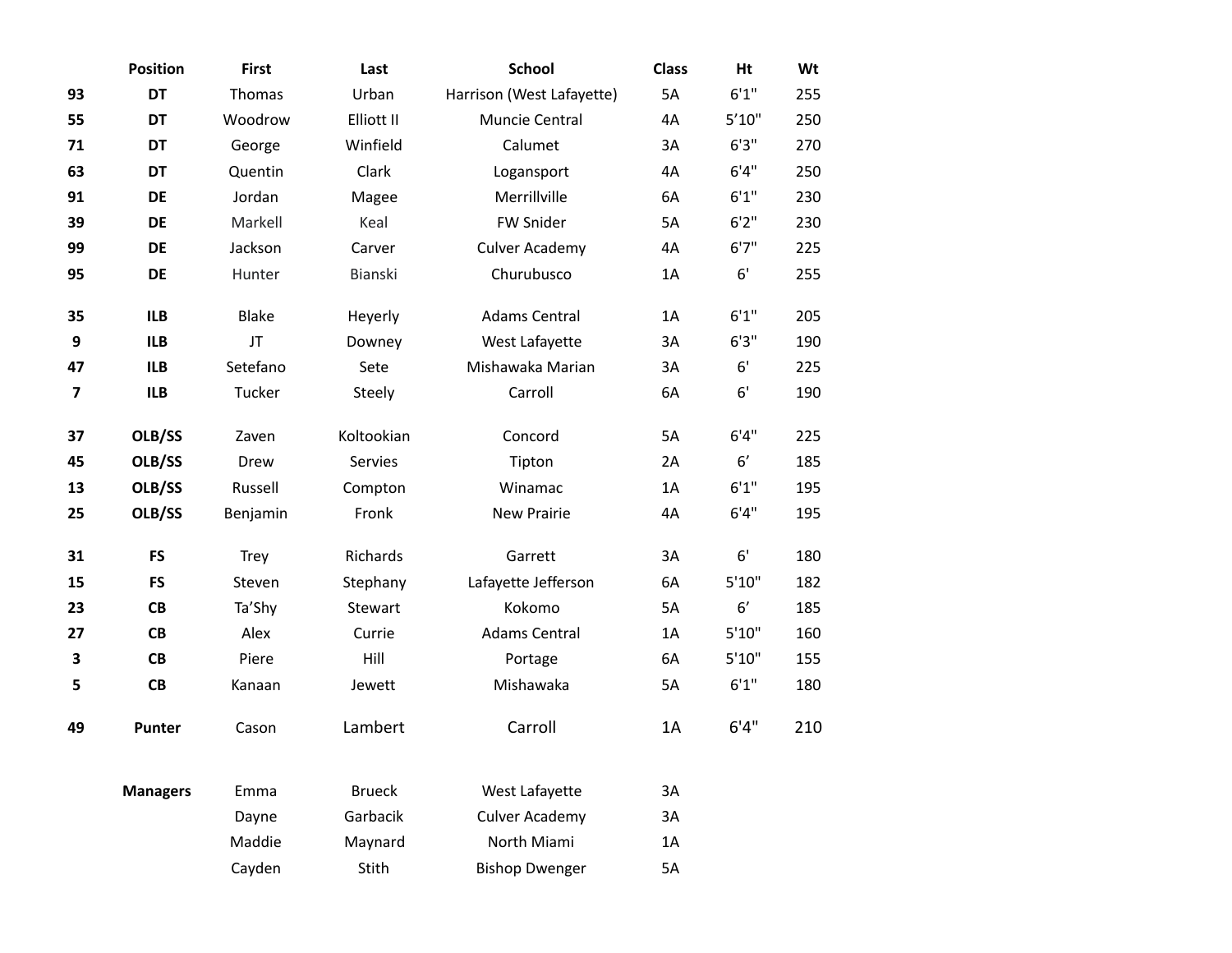|    | <b>Position</b> | <b>First</b> | Last          | <b>School</b>             | <b>Class</b> | Ht     | Wt  |
|----|-----------------|--------------|---------------|---------------------------|--------------|--------|-----|
| 93 | <b>DT</b>       | Thomas       | Urban         | Harrison (West Lafayette) | 5A           | 6'1''  | 255 |
| 55 | DT              | Woodrow      | Elliott II    | Muncie Central            | 4A           | 5'10"  | 250 |
| 71 | <b>DT</b>       | George       | Winfield      | Calumet                   | 3A           | 6'3''  | 270 |
| 63 | DT              | Quentin      | Clark         | Logansport                | 4A           | 6'4''  | 250 |
| 91 | DE              | Jordan       | Magee         | Merrillville              | 6A           | 6'1''  | 230 |
| 39 | <b>DE</b>       | Markell      | Keal          | FW Snider                 | 5A           | 6'2''  | 230 |
| 99 | DE              | Jackson      | Carver        | <b>Culver Academy</b>     | 4A           | 6'7''  | 225 |
| 95 | DE              | Hunter       | Bianski       | Churubusco                | 1A           | 6'     | 255 |
| 35 | <b>ILB</b>      | Blake        | Heyerly       | <b>Adams Central</b>      | 1A           | 6'1''  | 205 |
| 9  | <b>ILB</b>      | JT           | Downey        | West Lafayette            | 3A           | 6'3''  | 190 |
| 47 | <b>ILB</b>      | Setefano     | Sete          | Mishawaka Marian          | 3A           | 6'     | 225 |
| 7  | <b>ILB</b>      | Tucker       | Steely        | Carroll                   | 6A           | 6'     | 190 |
| 37 | OLB/SS          | Zaven        | Koltookian    | Concord                   | 5A           | 6'4''  | 225 |
| 45 | OLB/SS          | Drew         | Servies       | Tipton                    | 2A           | 6'     | 185 |
| 13 | OLB/SS          | Russell      | Compton       | Winamac                   | 1A           | 6'1''  | 195 |
| 25 | OLB/SS          | Benjamin     | Fronk         | New Prairie               | 4A           | 6'4''  | 195 |
| 31 | <b>FS</b>       | Trey         | Richards      | Garrett                   | 3A           | 6'     | 180 |
| 15 | <b>FS</b>       | Steven       | Stephany      | Lafayette Jefferson       | 6A           | 5'10'' | 182 |
| 23 | <b>CB</b>       | Ta'Shy       | Stewart       | Kokomo                    | 5A           | 6'     | 185 |
| 27 | CB              | Alex         | Currie        | <b>Adams Central</b>      | 1A           | 5'10'' | 160 |
| 3  | CB              | Piere        | Hill          | Portage                   | 6A           | 5'10'' | 155 |
| 5  | <b>CB</b>       | Kanaan       | Jewett        | Mishawaka                 | 5A           | 6'1''  | 180 |
| 49 | <b>Punter</b>   | Cason        | Lambert       | Carroll                   | 1A           | 6'4''  | 210 |
|    | <b>Managers</b> | Emma         | <b>Brueck</b> | West Lafayette            | 3A           |        |     |
|    |                 | Dayne        | Garbacik      | <b>Culver Academy</b>     | 3A           |        |     |
|    |                 | Maddie       | Maynard       | North Miami               | 1A           |        |     |
|    |                 | Cayden       | Stith         | <b>Bishop Dwenger</b>     | 5A           |        |     |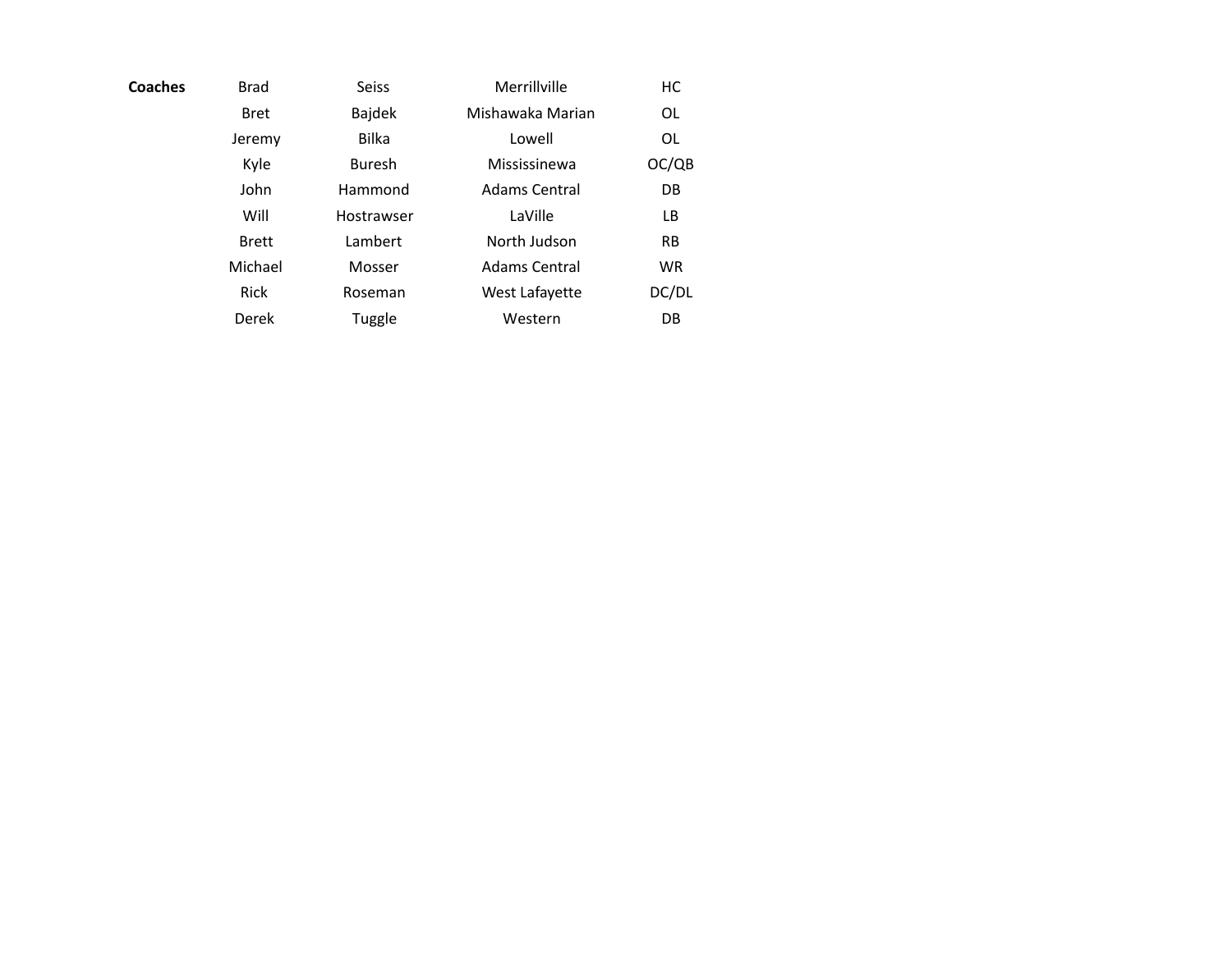| Coaches | <b>Brad</b>  | <b>Seiss</b>  | Merrillville     | HC        |
|---------|--------------|---------------|------------------|-----------|
|         | <b>Bret</b>  | Bajdek        | Mishawaka Marian | 0L        |
|         | Jeremy       | <b>Bilka</b>  | Lowell           | 0L        |
|         | Kyle         | <b>Buresh</b> | Mississinewa     | OC/QB     |
|         | John         | Hammond       | Adams Central    | DB        |
|         | Will         | Hostrawser    | LaVille          | LB        |
|         | <b>Brett</b> | Lambert       | North Judson     | <b>RB</b> |
|         | Michael      | Mosser        | Adams Central    | <b>WR</b> |
|         | Rick         | Roseman       | West Lafayette   | DC/DL     |
|         | Derek        | Tuggle        | Western          | DB        |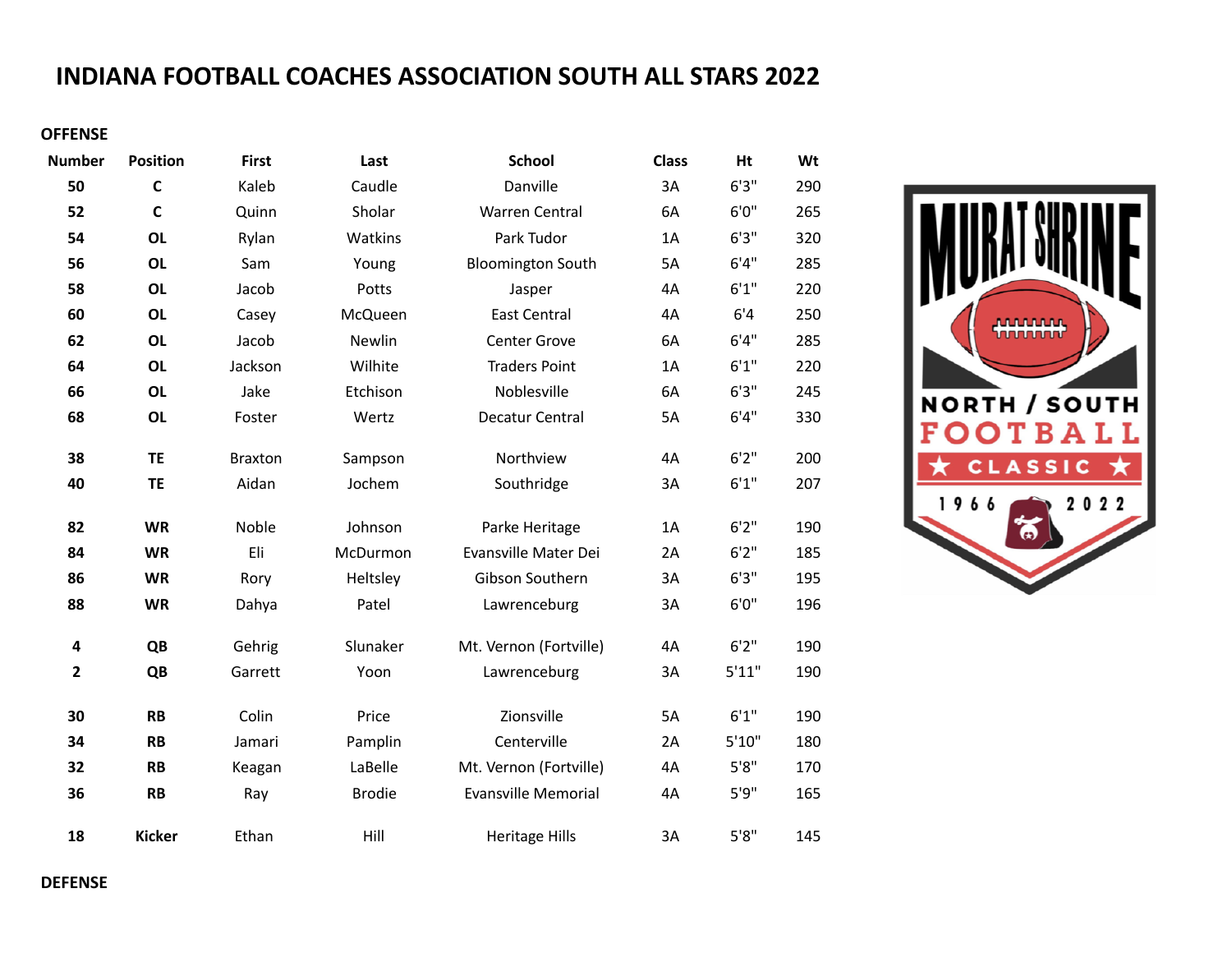## **INDIANA FOOTBALL COACHES ASSOCIATION SOUTH ALL STARS 2022**

## **OFFENSE**

| <b>Number</b>           | <b>Position</b> | <b>First</b>   | Last          | <b>School</b>              | <b>Class</b> | Ht     | Wt  |
|-------------------------|-----------------|----------------|---------------|----------------------------|--------------|--------|-----|
| 50                      | $\mathbf c$     | Kaleb          | Caudle        | Danville                   | 3A           | 6'3''  | 290 |
| 52                      | $\mathbf c$     | Quinn          | Sholar        | Warren Central             | 6A           | 6'0''  | 265 |
| 54                      | <b>OL</b>       | Rylan          | Watkins       | Park Tudor                 | 1A           | 6'3''  | 320 |
| 56                      | <b>OL</b>       | Sam            | Young         | <b>Bloomington South</b>   | 5A           | 6'4''  | 285 |
| 58                      | <b>OL</b>       | Jacob          | Potts         | Jasper                     | 4A           | 6'1''  | 220 |
| 60                      | <b>OL</b>       | Casey          | McQueen       | <b>East Central</b>        | 4A           | 6'4    | 250 |
| 62                      | <b>OL</b>       | Jacob          | Newlin        | Center Grove               | 6A           | 6'4''  | 285 |
| 64                      | <b>OL</b>       | Jackson        | Wilhite       | <b>Traders Point</b>       | 1A           | 6'1''  | 220 |
| 66                      | <b>OL</b>       | Jake           | Etchison      | Noblesville                | 6A           | 6'3''  | 245 |
| 68                      | <b>OL</b>       | Foster         | Wertz         | Decatur Central            | 5A           | 6'4''  | 330 |
| 38                      | <b>TE</b>       | <b>Braxton</b> | Sampson       | Northview                  | 4A           | 6'2''  | 200 |
| 40                      | <b>TE</b>       | Aidan          | Jochem        | Southridge                 | 3A           | 6'1''  | 207 |
|                         |                 |                |               |                            |              |        |     |
| 82                      | <b>WR</b>       | Noble          | Johnson       | Parke Heritage             | 1A           | 6'2''  | 190 |
| 84                      | <b>WR</b>       | Eli            | McDurmon      | Evansville Mater Dei       | 2A           | 6'2''  | 185 |
| 86                      | <b>WR</b>       | Rory           | Heltsley      | Gibson Southern            | 3A           | 6'3''  | 195 |
| 88                      | <b>WR</b>       | Dahya          | Patel         | Lawrenceburg               | 3A           | 6'0''  | 196 |
| 4                       | QB              | Gehrig         | Slunaker      | Mt. Vernon (Fortville)     | 4A           | 6'2''  | 190 |
| $\overline{\mathbf{2}}$ | QB              | Garrett        | Yoon          | Lawrenceburg               | 3A           | 5'11"  | 190 |
| 30                      | <b>RB</b>       | Colin          | Price         | Zionsville                 | 5A           | 6'1''  | 190 |
| 34                      | <b>RB</b>       | Jamari         | Pamplin       | Centerville                | 2A           | 5'10'' | 180 |
| 32                      | <b>RB</b>       | Keagan         | LaBelle       | Mt. Vernon (Fortville)     | 4A           | 5'8''  | 170 |
| 36                      | <b>RB</b>       | Ray            | <b>Brodie</b> | <b>Evansville Memorial</b> | 4A           | 5'9''  | 165 |
| 18                      | <b>Kicker</b>   | Ethan          | Hill          | <b>Heritage Hills</b>      | 3A           | 5'8''  | 145 |

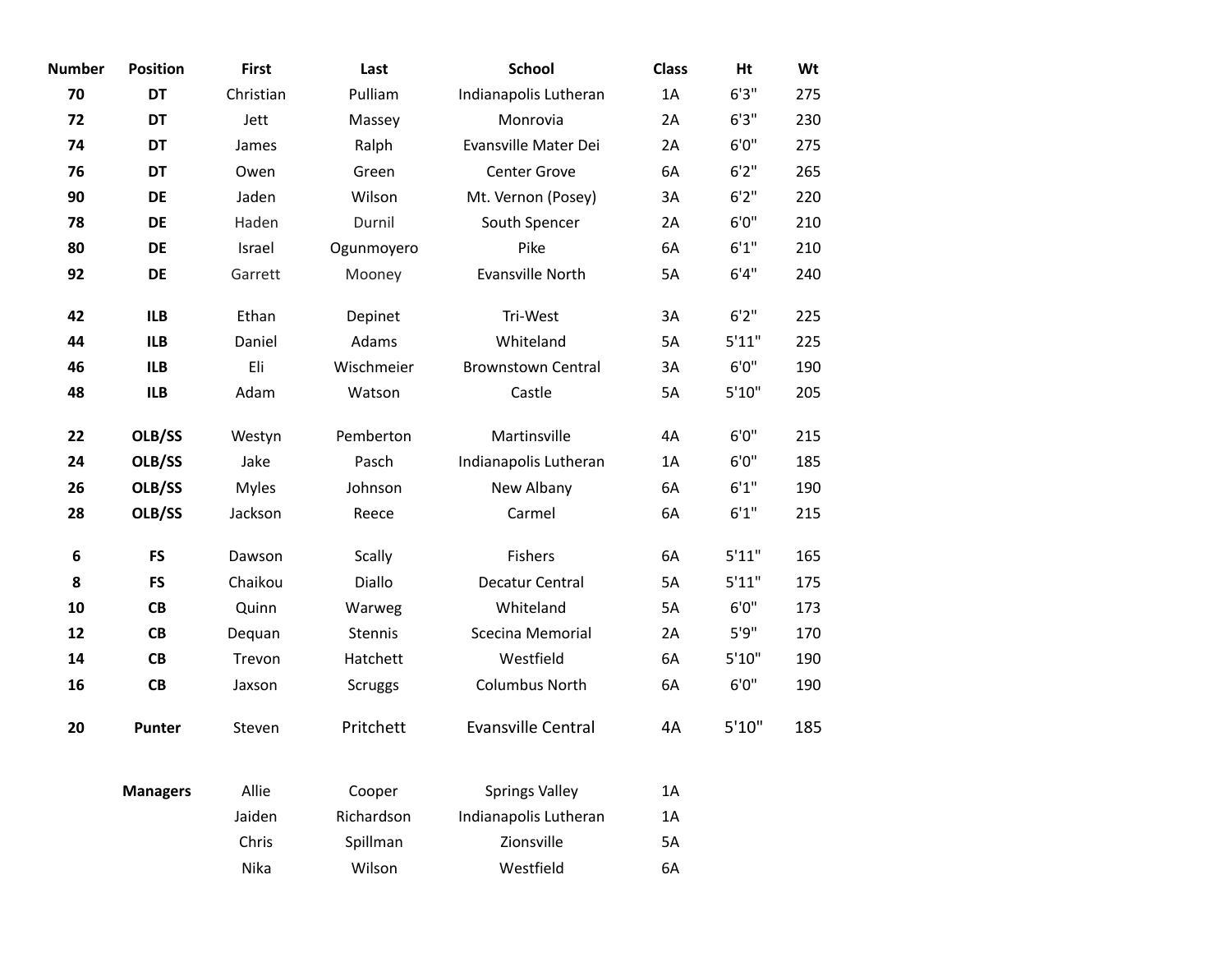| <b>Number</b> | <b>Position</b> | <b>First</b> | Last           | <b>School</b>             | <b>Class</b> | Ht     | Wt  |
|---------------|-----------------|--------------|----------------|---------------------------|--------------|--------|-----|
| 70            | DT              | Christian    | Pulliam        | Indianapolis Lutheran     | 1A           | 6'3''  | 275 |
| 72            | DT              | Jett         | Massey         | Monrovia                  | 2A           | 6'3''  | 230 |
| 74            | DT              | James        | Ralph          | Evansville Mater Dei      | 2A           | 6'0''  | 275 |
| 76            | DT              | Owen         | Green          | Center Grove              | 6A           | 6'2''  | 265 |
| 90            | DE              | Jaden        | Wilson         | Mt. Vernon (Posey)        | 3A           | 6'2''  | 220 |
| 78            | DE              | Haden        | Durnil         | South Spencer             | 2A           | 6'0''  | 210 |
| 80            | DE              | Israel       | Ogunmoyero     | Pike                      | 6A           | 6'1''  | 210 |
| 92            | DE              | Garrett      | Mooney         | Evansville North          | 5A           | 6'4''  | 240 |
| 42            | <b>ILB</b>      | Ethan        | Depinet        | Tri-West                  | 3A           | 6'2''  | 225 |
| 44            | <b>ILB</b>      | Daniel       | Adams          | Whiteland                 | 5A           | 5'11"  | 225 |
| 46            | <b>ILB</b>      | Eli          | Wischmeier     | <b>Brownstown Central</b> | 3A           | 6'0''  | 190 |
| 48            | <b>ILB</b>      | Adam         | Watson         | Castle                    | 5A           | 5'10'' | 205 |
| 22            | OLB/SS          | Westyn       | Pemberton      | Martinsville              | 4A           | 6'0''  | 215 |
| 24            | OLB/SS          | Jake         | Pasch          | Indianapolis Lutheran     | 1A           | 6'0''  | 185 |
| 26            | OLB/SS          | <b>Myles</b> | Johnson        | New Albany                | 6A           | 6'1''  | 190 |
| 28            | OLB/SS          | Jackson      | Reece          | Carmel                    | 6A           | 6'1''  | 215 |
| 6             | <b>FS</b>       | Dawson       | <b>Scally</b>  | Fishers                   | 6A           | 5'11"  | 165 |
| 8             | <b>FS</b>       | Chaikou      | Diallo         | Decatur Central           | 5A           | 5'11"  | 175 |
| 10            | CB              | Quinn        | Warweg         | Whiteland                 | 5A           | 6'0''  | 173 |
| 12            | CB              | Dequan       | Stennis        | Scecina Memorial          | 2A           | 5'9''  | 170 |
| 14            | CB              | Trevon       | Hatchett       | Westfield                 | 6A           | 5'10'' | 190 |
| 16            | CB              | Jaxson       | <b>Scruggs</b> | Columbus North            | 6A           | 6'0''  | 190 |
| 20            | Punter          | Steven       | Pritchett      | <b>Evansville Central</b> | 4A           | 5'10'' | 185 |
|               | <b>Managers</b> | Allie        | Cooper         | <b>Springs Valley</b>     | 1A           |        |     |
|               |                 | Jaiden       | Richardson     | Indianapolis Lutheran     | 1A           |        |     |
|               |                 | Chris        | Spillman       | Zionsville                | 5A           |        |     |
|               |                 | Nika         | Wilson         | Westfield                 | 6A           |        |     |